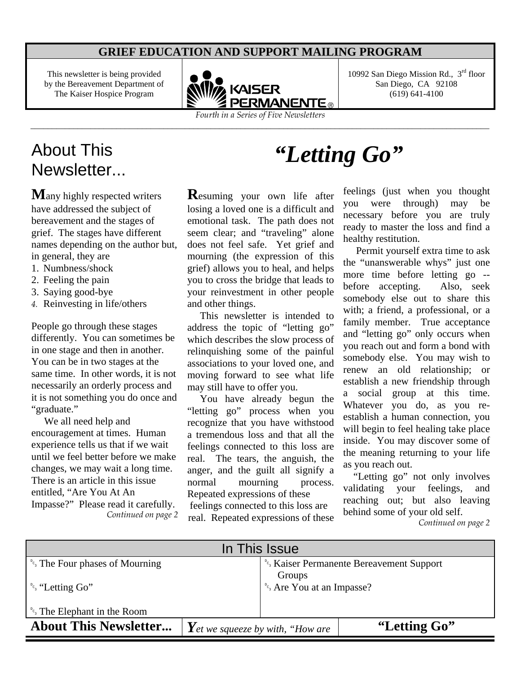#### **GRIEF EDUCATION AND SUPPORT MAILING PROGRAM**

This newsletter is being provided by the Bereavement Department of The Kaiser Hospice Program



*Fourth in a Series of Five Newsletters* \_\_\_\_\_\_\_\_\_\_\_\_\_\_\_\_\_\_\_\_\_\_\_\_\_\_\_\_\_\_\_\_\_\_\_\_\_\_\_\_\_\_\_\_\_\_\_\_\_\_\_\_\_\_\_\_\_\_\_\_\_\_\_\_\_\_\_\_\_\_\_\_\_\_\_\_\_\_\_\_\_\_\_\_\_\_\_\_\_\_\_\_\_\_\_\_\_\_\_\_\_\_\_\_\_\_\_

10992 San Diego Mission Rd.,  $3<sup>rd</sup>$  floor San Diego, CA 92108 (619) 641-4100

## About This About This *"Letting Go"*<br>Newsletter

**M**any highly respected writers have addressed the subject of bereavement and the stages of grief. The stages have different names depending on the author but, in general, they are

- 1. Numbness/shock
- 2. Feeling the pain
- 3. Saying good-bye
- *4.* Reinvesting in life/others

People go through these stages differently. You can sometimes be in one stage and then in another. You can be in two stages at the same time. In other words, it is not necessarily an orderly process and it is not something you do once and "graduate."

 We all need help and encouragement at times. Human experience tells us that if we wait until we feel better before we make changes, we may wait a long time. There is an article in this issue entitled, "Are You At An Impasse?" Please read it carefully. *Continued on page 2*

**R**esuming your own life after losing a loved one is a difficult and emotional task. The path does not seem clear; and "traveling" alone does not feel safe. Yet grief and mourning (the expression of this grief) allows you to heal, and helps you to cross the bridge that leads to your reinvestment in other people and other things.

 This newsletter is intended to address the topic of "letting go" which describes the slow process of relinquishing some of the painful associations to your loved one, and moving forward to see what life may still have to offer you.

 You have already begun the "letting go" process when you recognize that you have withstood a tremendous loss and that all the feelings connected to this loss are real. The tears, the anguish, the anger, and the guilt all signify a normal mourning process. Repeated expressions of these

 feelings connected to this loss are real. Repeated expressions of these

feelings (just when you thought you were through) may be necessary before you are truly ready to master the loss and find a healthy restitution.

 Permit yourself extra time to ask the "unanswerable whys" just one more time before letting go - before accepting. Also, seek somebody else out to share this with; a friend, a professional, or a family member. True acceptance and "letting go" only occurs when you reach out and form a bond with somebody else. You may wish to renew an old relationship; or establish a new friendship through a social group at this time. Whatever you do, as you reestablish a human connection, you will begin to feel healing take place inside. You may discover some of the meaning returning to your life as you reach out.

 "Letting go" not only involves validating your feelings, and reaching out; but also leaving behind some of your old self.

*Continued on page 2* 

| In This Issue                                                |                                                  |                                        |                                                       |
|--------------------------------------------------------------|--------------------------------------------------|----------------------------------------|-------------------------------------------------------|
| <sup><i>°c<sub>s</sub></i> The Four phases of Mourning</sup> |                                                  |                                        | <sup>°</sup> 's Kaiser Permanente Bereavement Support |
|                                                              |                                                  | Groups                                 |                                                       |
| $^{\circ}$ <sup>c</sup> <sub>3</sub> "Letting Go"            |                                                  | <sup>bc</sup> s Are You at an Impasse? |                                                       |
|                                                              |                                                  |                                        |                                                       |
| <sup><i>e<sub>s</sub></i></sup> The Elephant in the Room     |                                                  |                                        |                                                       |
| <b>About This Newsletter</b>                                 | $\boldsymbol{Y}$ et we squeeze by with, "How are |                                        | "Letting Go"                                          |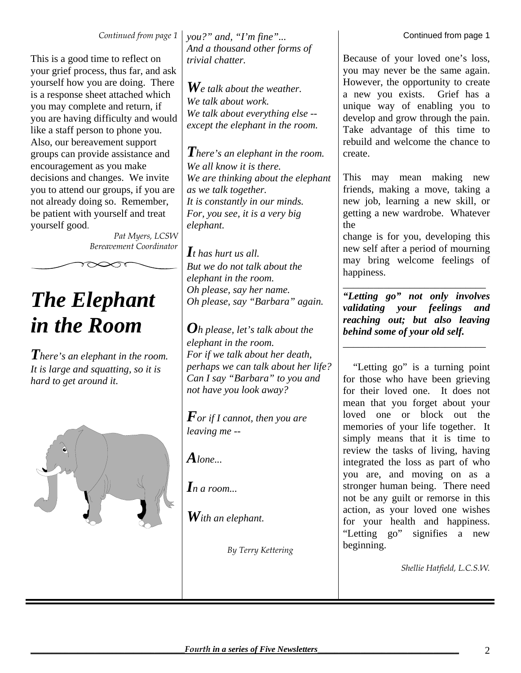*Continued from page 1* 

This is a good time to reflect on your grief process, thus far, and ask yourself how you are doing. There is a response sheet attached which you may complete and return, if you are having difficulty and would like a staff person to phone you. Also, our bereavement support groups can provide assistance and encouragement as you make decisions and changes. We invite you to attend our groups, if you are not already doing so. Remember, be patient with yourself and treat yourself good.

*Pat Myers, LCSW Bereavement Coordinator* 

# *The Elephant in the Room*

*There's an elephant in the room. It is large and squatting, so it is hard to get around it.* 



*you?" and, "I'm fine"... And a thousand other forms of trivial chatter.*

*We talk about the weather. We talk about work. We talk about everything else - except the elephant in the room.*

*There's an elephant in the room. We all know it is there. We are thinking about the elephant as we talk together. It is constantly in our minds. For, you see, it is a very big elephant.* 

*It has hurt us all. But we do not talk about the elephant in the room. Oh please, say her name. Oh please, say "Barbara" again.* 

*Oh please, let's talk about the elephant in the room. For if we talk about her death, perhaps we can talk about her life? Can I say "Barbara" to you and not have you look away?* 

*For if I cannot, then you are leaving me --* 

 $A$ *lone...* 

*In a room...* 

*With an elephant.* 

*By Terry Kettering*

Because of your loved one's loss, you may never be the same again. However, the opportunity to create a new you exists. Grief has a unique way of enabling you to develop and grow through the pain. Take advantage of this time to rebuild and welcome the chance to create.

This may mean making new friends, making a move, taking a new job, learning a new skill, or getting a new wardrobe. Whatever the

change is for you, developing this new self after a period of mourning may bring welcome feelings of happiness.

\_\_\_\_\_\_\_\_\_\_\_\_\_\_\_\_\_\_\_\_\_\_\_\_\_\_\_\_ *"Letting go" not only involves validating your feelings and reaching out; but also leaving behind some of your old self.*  \_\_\_\_\_\_\_\_\_\_\_\_\_\_\_\_\_\_\_\_\_\_\_\_\_\_\_\_

 "Letting go" is a turning point for those who have been grieving for their loved one. It does not mean that you forget about your loved one or block out the memories of your life together. It simply means that it is time to review the tasks of living, having integrated the loss as part of who you are, and moving on as a stronger human being. There need not be any guilt or remorse in this action, as your loved one wishes for your health and happiness. "Letting go" signifies a new beginning.

*Shellie Hatfield, L.C.S.W.*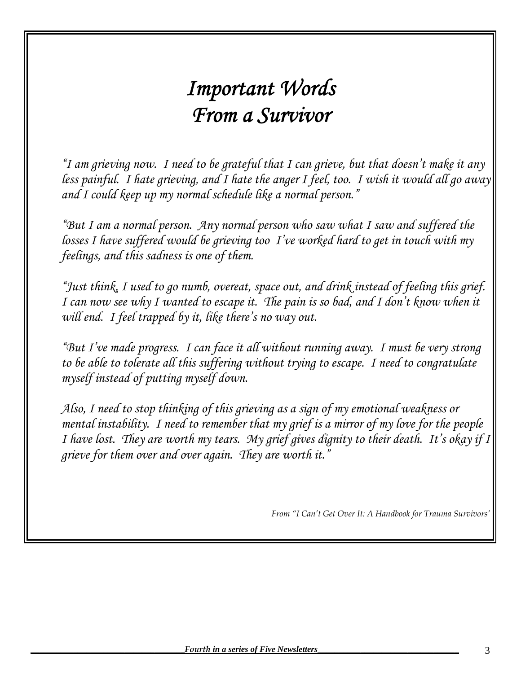# *Important Words From a Survivor*

*"I am grieving now. I need to be grateful that I can grieve, but that doesn't make it any less painful. I hate grieving, and I hate the anger I feel, too. I wish it would all go away and I could keep up my normal schedule like a normal person."* 

*"But I am a normal person. Any normal person who saw what I saw and suffered the losses I have suffered would be grieving too I've worked hard to get in touch with my feelings, and this sadness is one of them.* 

*"Just think, I used to go numb, overeat, space out, and drink instead of feeling this grief. I can now see why I wanted to escape it. The pain is so bad, and I don't know when it will end. I feel trapped by it, like there's no way out.* 

*"But I've made progress. I can face it all without running away. I must be very strong to be able to tolerate all this suffering without trying to escape. I need to congratulate myself instead of putting myself down.* 

*Also, I need to stop thinking of this grieving as a sign of my emotional weakness or mental instability. I need to remember that my grief is a mirror of my love for the people I have lost. They are worth my tears. My grief gives dignity to their death. It's okay if I grieve for them over and over again. They are worth it."* 

*From "I Can't Get Over It: A Handbook for Trauma Survivors'*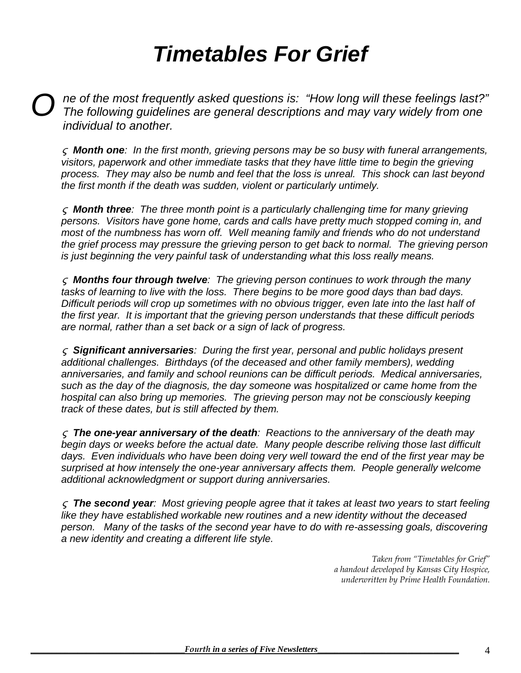# *Timetables For Grief*

*ne of the most frequently asked questions is: "How long will these feelings last?" O The following guidelines are general descriptions and may vary widely from one individual to another.* 

 *Month one: In the first month, grieving persons may be so busy with funeral arrangements,*  visitors, paperwork and other immediate tasks that they have little time to begin the grieving *process. They may also be numb and feel that the loss is unreal. This shock can last beyond the first month if the death was sudden, violent or particularly untimely.* 

 *Month three: The three month point is a particularly challenging time for many grieving persons. Visitors have gone home, cards and calls have pretty much stopped coming in, and most of the numbness has worn off. Well meaning family and friends who do not understand the grief process may pressure the grieving person to get back to normal. The grieving person is just beginning the very painful task of understanding what this loss really means.* 

 *Months four through twelve: The grieving person continues to work through the many tasks of learning to live with the loss. There begins to be more good days than bad days. Difficult periods will crop up sometimes with no obvious trigger, even late into the last half of the first year. It is important that the grieving person understands that these difficult periods are normal, rather than a set back or a sign of lack of progress.* 

 *Significant anniversaries: During the first year, personal and public holidays present additional challenges. Birthdays (of the deceased and other family members), wedding anniversaries, and family and school reunions can be difficult periods. Medical anniversaries, such as the day of the diagnosis, the day someone was hospitalized or came home from the hospital can also bring up memories. The grieving person may not be consciously keeping track of these dates, but is still affected by them.* 

 *The one-year anniversary of the death: Reactions to the anniversary of the death may begin days or weeks before the actual date. Many people describe reliving those last difficult days. Even individuals who have been doing very well toward the end of the first year may be surprised at how intensely the one-year anniversary affects them. People generally welcome additional acknowledgment or support during anniversaries.* 

 *The second year: Most grieving people agree that it takes at least two years to start feeling like they have established workable new routines and a new identity without the deceased person. Many of the tasks of the second year have to do with re-assessing goals, discovering a new identity and creating a different life style.* 

> *Taken from "Timetables for Grief" a handout developed by Kansas City Hospice, underwritten by Prime Health Foundation.*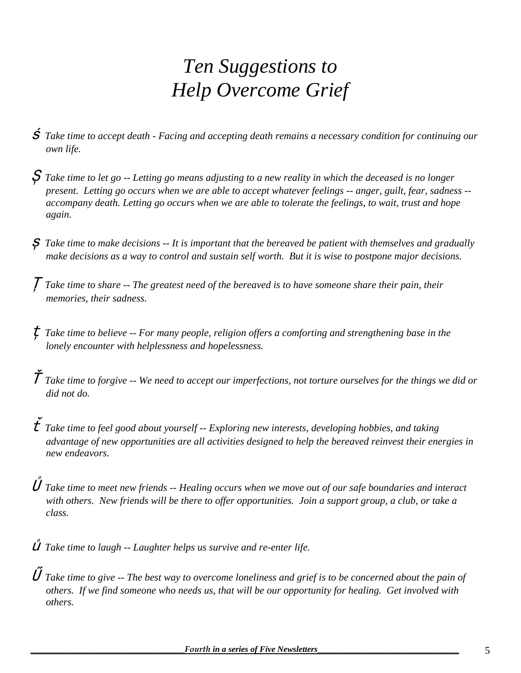## *Ten Suggestions to Help Overcome Grief*

- *Take time to accept death Facing and accepting death remains a necessary condition for continuing our own life.*
- *Take time to let go -- Letting go means adjusting to a new reality in which the deceased is no longer present. Letting go occurs when we are able to accept whatever feelings -- anger, guilt, fear, sadness - accompany death. Letting go occurs when we are able to tolerate the feelings, to wait, trust and hope again.*
- *Take time to make decisions -- It is important that the bereaved be patient with themselves and gradually make decisions as a way to control and sustain self worth. But it is wise to postpone major decisions.*
- *Take time to share -- The greatest need of the bereaved is to have someone share their pain, their memories, their sadness.*
- *Take time to believe -- For many people, religion offers a comforting and strengthening base in the lonely encounter with helplessness and hopelessness.*
- $\check{\mathcal{T}}$  Take time to forgive -- We need to accept our imperfections, not torture ourselves for the things we did or  *did not do.*
- $\check{t}$  Take time to feel good about yourself -- Exploring new interests, developing hobbies, and taking  *advantage of new opportunities are all activities designed to help the bereaved reinvest their energies in new endeavors.*
- *Take time to meet new friends -- Healing occurs when we move out of our safe boundaries and interact with others. New friends will be there to offer opportunities. Join a support group, a club, or take a class.*

 $\mathring{U}$  Take time to laugh  $-$ - Laughter helps us survive and re-enter life.

 *Take time to give -- The best way to overcome loneliness and grief is to be concerned about the pain of others. If we find someone who needs us, that will be our opportunity for healing. Get involved with others.*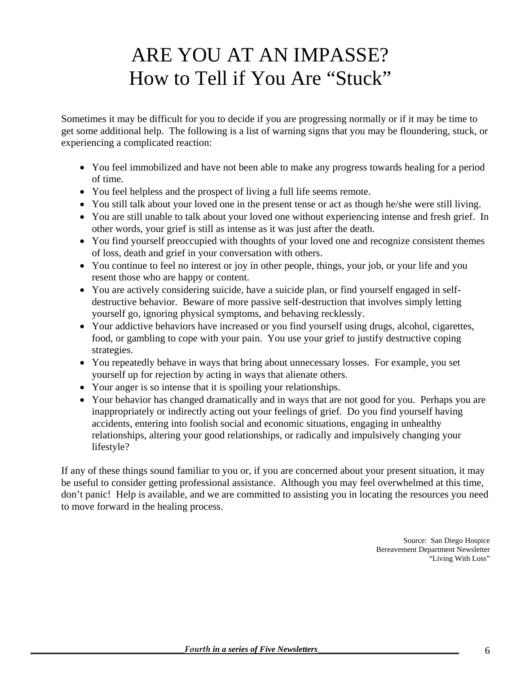## ARE YOU AT AN IMPASSE? How to Tell if You Are "Stuck"

Sometimes it may be difficult for you to decide if you are progressing normally or if it may be time to get some additional help. The following is a list of warning signs that you may be floundering, stuck, or experiencing a complicated reaction:

- You feel immobilized and have not been able to make any progress towards healing for a period of time.
- You feel helpless and the prospect of living a full life seems remote.
- You still talk about your loved one in the present tense or act as though he/she were still living.
- You are still unable to talk about your loved one without experiencing intense and fresh grief. In other words, your grief is still as intense as it was just after the death.
- You find yourself preoccupied with thoughts of your loved one and recognize consistent themes of loss, death and grief in your conversation with others.
- You continue to feel no interest or joy in other people, things, your job, or your life and you resent those who are happy or content.
- You are actively considering suicide, have a suicide plan, or find yourself engaged in selfdestructive behavior. Beware of more passive self-destruction that involves simply letting yourself go, ignoring physical symptoms, and behaving recklessly.
- Your addictive behaviors have increased or you find yourself using drugs, alcohol, cigarettes, food, or gambling to cope with your pain. You use your grief to justify destructive coping strategies.
- You repeatedly behave in ways that bring about unnecessary losses. For example, you set yourself up for rejection by acting in ways that alienate others.
- Your anger is so intense that it is spoiling your relationships.
- Your behavior has changed dramatically and in ways that are not good for you. Perhaps you are inappropriately or indirectly acting out your feelings of grief. Do you find yourself having accidents, entering into foolish social and economic situations, engaging in unhealthy relationships, altering your good relationships, or radically and impulsively changing your lifestyle?

If any of these things sound familiar to you or, if you are concerned about your present situation, it may be useful to consider getting professional assistance. Although you may feel overwhelmed at this time, don't panic! Help is available, and we are committed to assisting you in locating the resources you need to move forward in the healing process.

> Source: San Diego Hospice Bereavement Department Newsletter "Living With Loss"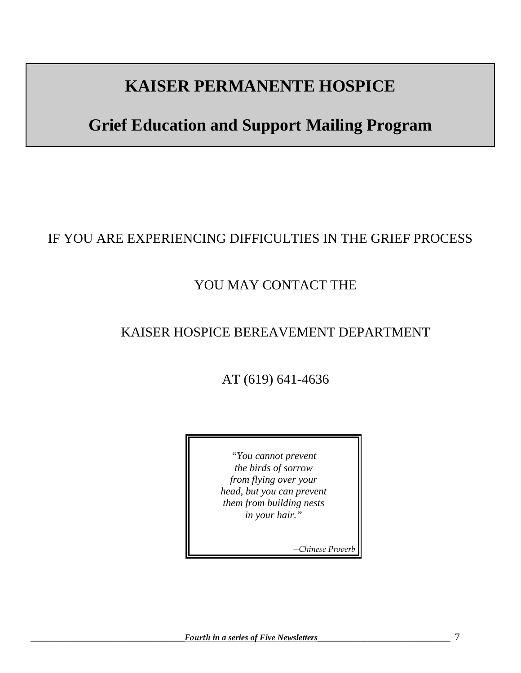### **KAISER PERMANENTE HOSPICE**

## **Grief Education and Support Mailing Program**

#### IF YOU ARE EXPERIENCING DIFFICULTIES IN THE GRIEF PROCESS

#### YOU MAY CONTACT THE

#### KAISER HOSPICE BEREAVEMENT DEPARTMENT

AT (619) 641-4636

*"You cannot prevent the birds of sorrow from flying over your head, but you can prevent them from building nests in your hair."*

*--Chinese Proverb*